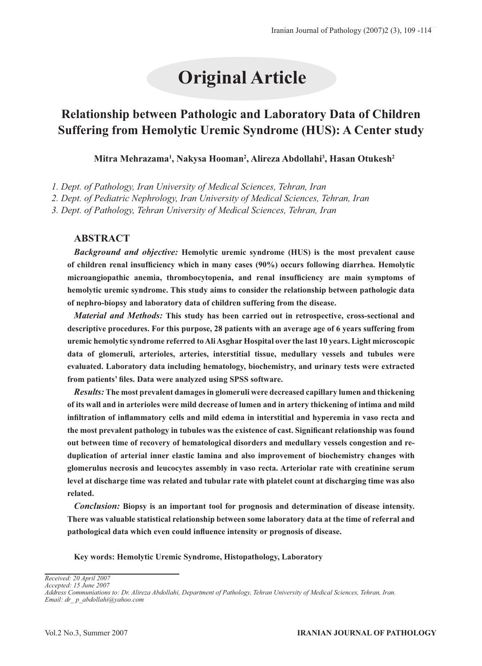# **Original Article**

## **Relationship between Pathologic and Laboratory Data of Children Suffering from Hemolytic Uremic Syndrome (HUS): A Center study**

#### **Mitra Mehrazama1 , Nakysa Hooman2 , Alireza Abdollahi3 , Hasan Otukesh2**

*1. Dept. of Pathology, Iran University of Medical Sciences, Tehran, Iran*

*2. Dept. of Pediatric Nephrology, Iran University of Medical Sciences, Tehran, Iran*

*3. Dept. of Pathology, Tehran University of Medical Sciences, Tehran, Iran*

#### **ABSTRACT**

*Background and objective:* **Hemolytic uremic syndrome (HUS) is the most prevalent cause of children renal insufficiency which in many cases (90%) occurs following diarrhea. Hemolytic microangiopathic anemia, thrombocytopenia, and renal insufficiency are main symptoms of hemolytic uremic syndrome. This study aims to consider the relationship between pathologic data of nephro-biopsy and laboratory data of children suffering from the disease.** 

*Material and Methods:* **This study has been carried out in retrospective, cross-sectional and descriptive procedures. For this purpose, 28 patients with an average age of 6 years suffering from uremic hemolytic syndrome referred to Ali Asghar Hospital over the last 10 years. Light microscopic data of glomeruli, arterioles, arteries, interstitial tissue, medullary vessels and tubules were evaluated. Laboratory data including hematology, biochemistry, and urinary tests were extracted from patients' files. Data were analyzed using SPSS software.**

*Results:* **The most prevalent damages in glomeruli were decreased capillary lumen and thickening of its wall and in arterioles were mild decrease of lumen and in artery thickening of intima and mild infiltration of inflammatory cells and mild edema in interstitial and hyperemia in vaso recta and the most prevalent pathology in tubules was the existence of cast. Significant relationship was found out between time of recovery of hematological disorders and medullary vessels congestion and reduplication of arterial inner elastic lamina and also improvement of biochemistry changes with glomerulus necrosis and leucocytes assembly in vaso recta. Arteriolar rate with creatinine serum level at discharge time was related and tubular rate with platelet count at discharging time was also related.**

*Conclusion:* **Biopsy is an important tool for prognosis and determination of disease intensity. There was valuable statistical relationship between some laboratory data at the time of referral and pathological data which even could influence intensity or prognosis of disease.**

**Key words: Hemolytic Uremic Syndrome, Histopathology, Laboratory** 

*Received: 20 April 2007 Accepted: 15 June 2007*

*Address Communiations to: Dr. Alireza Abdollahi, Department of Pathology, Tehran University of Medical Sciences, Tehran, Iran. Email: dr\_ p\_abdollahi@yahoo.com*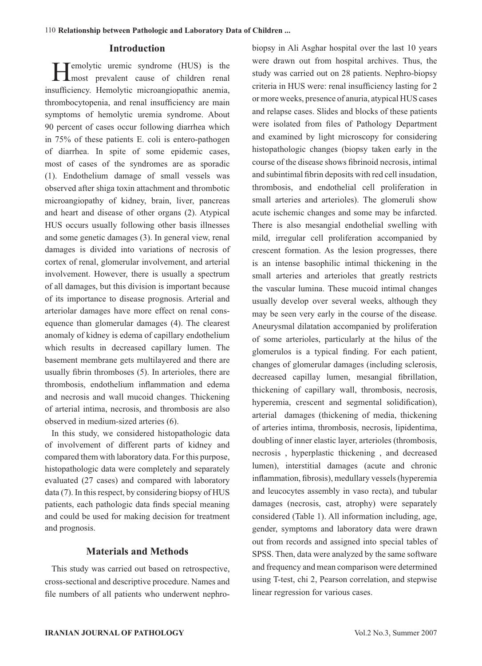#### **Introduction**

Temolytic uremic syndrome (HUS) is the **L**most prevalent cause of children renal insufficiency. Hemolytic microangiopathic anemia, thrombocytopenia, and renal insufficiency are main symptoms of hemolytic uremia syndrome. About 90 percent of cases occur following diarrhea which in 75% of these patients E. coli is entero-pathogen of diarrhea. In spite of some epidemic cases, most of cases of the syndromes are as sporadic (1). Endothelium damage of small vessels was observed after shiga toxin attachment and thrombotic microangiopathy of kidney, brain, liver, pancreas and heart and disease of other organs (2). Atypical HUS occurs usually following other basis illnesses and some genetic damages (3). In general view, renal damages is divided into variations of necrosis of cortex of renal, glomerular involvement, and arterial involvement. However, there is usually a spectrum of all damages, but this division is important because of its importance to disease prognosis. Arterial and arteriolar damages have more effect on renal consequence than glomerular damages (4). The clearest anomaly of kidney is edema of capillary endothelium which results in decreased capillary lumen. The basement membrane gets multilayered and there are usually fibrin thromboses (5). In arterioles, there are thrombosis, endothelium inflammation and edema and necrosis and wall mucoid changes. Thickening of arterial intima, necrosis, and thrombosis are also observed in medium-sized arteries (6).

In this study, we considered histopathologic data of involvement of different parts of kidney and compared them with laboratory data. For this purpose, histopathologic data were completely and separately evaluated (27 cases) and compared with laboratory data (7). In this respect, by considering biopsy of HUS patients, each pathologic data finds special meaning and could be used for making decision for treatment and prognosis.

#### **Materials and Methods**

This study was carried out based on retrospective, cross-sectional and descriptive procedure. Names and file numbers of all patients who underwent nephrobiopsy in Ali Asghar hospital over the last 10 years were drawn out from hospital archives. Thus, the study was carried out on 28 patients. Nephro-biopsy criteria in HUS were: renal insufficiency lasting for 2 or more weeks, presence of anuria, atypical HUS cases and relapse cases. Slides and blocks of these patients were isolated from files of Pathology Department and examined by light microscopy for considering histopathologic changes (biopsy taken early in the course of the disease shows fibrinoid necrosis, intimal and subintimal fibrin deposits with red cell insudation, thrombosis, and endothelial cell proliferation in small arteries and arterioles). The glomeruli show acute ischemic changes and some may be infarcted. There is also mesangial endothelial swelling with mild, irregular cell proliferation accompanied by crescent formation. As the lesion progresses, there is an intense basophilic intimal thickening in the small arteries and arterioles that greatly restricts the vascular lumina. These mucoid intimal changes usually develop over several weeks, although they may be seen very early in the course of the disease. Aneurysmal dilatation accompanied by proliferation of some arterioles, particularly at the hilus of the glomerulos is a typical finding. For each patient, changes of glomerular damages (including sclerosis, decreased capillay lumen, mesangial fibrillation, thickening of capillary wall, thrombosis, necrosis, hyperemia, crescent and segmental solidification), arterial damages (thickening of media, thickening of arteries intima, thrombosis, necrosis, lipidentima, doubling of inner elastic layer, arterioles (thrombosis, necrosis , hyperplastic thickening , and decreased lumen), interstitial damages (acute and chronic inflammation, fibrosis), medullary vessels (hyperemia and leucocytes assembly in vaso recta), and tubular damages (necrosis, cast, atrophy) were separately considered (Table 1). All information including, age, gender, symptoms and laboratory data were drawn out from records and assigned into special tables of SPSS. Then, data were analyzed by the same software and frequency and mean comparison were determined using T-test, chi 2, Pearson correlation, and stepwise linear regression for various cases.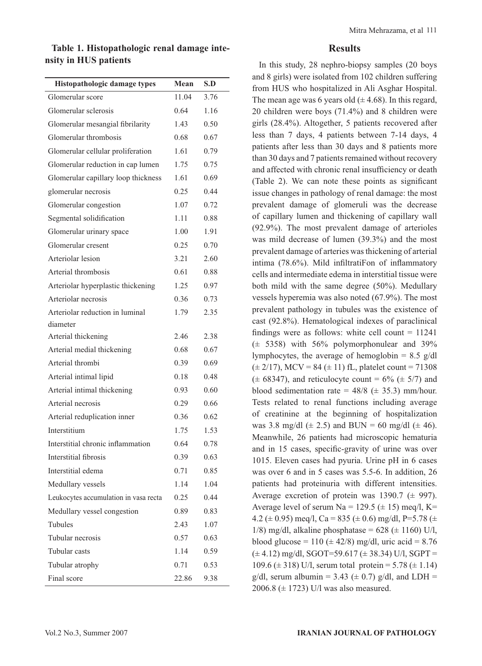**Table 1. Histopathologic renal damage intensity in HUS patients**

| Histopathologic damage types          | Mean  | S.D  |
|---------------------------------------|-------|------|
| Glomerular score                      | 11.04 | 3.76 |
| Glomerular sclerosis                  | 0.64  | 1.16 |
| Glomerular mesangial fibrilarity      | 1.43  | 0.50 |
| Glomerular thrombosis                 | 0.68  | 0.67 |
| Glomerular cellular proliferation     | 1.61  | 0.79 |
| Glomerular reduction in cap lumen     | 1.75  | 0.75 |
| Glomerular capillary loop thickness   | 1.61  | 0.69 |
| glomerular necrosis                   | 0.25  | 0.44 |
| Glomerular congestion                 | 1.07  | 0.72 |
| Segmental solidification              | 1.11  | 0.88 |
| Glomerular urinary space              | 1.00  | 1.91 |
| Glomerular cresent                    | 0.25  | 0.70 |
| Arteriolar lesion                     | 3.21  | 2.60 |
| Arterial thrombosis                   | 0.61  | 0.88 |
| Arteriolar hyperplastic thickening    | 1.25  | 0.97 |
| Arteriolar necrosis                   | 0.36  | 0.73 |
| Arteriolar reduction in luminal       | 1.79  | 2.35 |
| diameter                              |       |      |
| Arterial thickening                   | 2.46  | 2.38 |
| Arterial medial thickening            | 0.68  | 0.67 |
| Arterial thrombi                      | 0.39  | 0.69 |
| Arterial intimal lipid                | 0.18  | 0.48 |
| Arterial intimal thickening           | 0.93  | 0.60 |
| Arterial necrosis                     | 0.29  | 0.66 |
| Arterial reduplication inner          | 0.36  | 0.62 |
| Interstitium                          | 1.75  | 1.53 |
| Interstitial chronic inflammation     | 0.64  | 0.78 |
| Interstitial fibrosis                 | 0.39  | 0.63 |
| Interstitial edema                    | 0.71  | 0.85 |
| Medullary vessels                     | 1.14  | 1.04 |
| Leukocytes accumulation in vasa recta | 0.25  | 0.44 |
| Medullary vessel congestion           | 0.89  | 0.83 |
| Tubules                               | 2.43  | 1.07 |
| Tubular necrosis                      | 0.57  | 0.63 |
| Tubular casts                         | 1.14  | 0.59 |
| Tubular atrophy                       | 0.71  | 0.53 |
| Final score                           | 22.86 | 9.38 |

#### **Results**

In this study, 28 nephro-biopsy samples (20 boys and 8 girls) were isolated from 102 children suffering from HUS who hospitalized in Ali Asghar Hospital. The mean age was 6 years old  $(\pm 4.68)$ . In this regard, 20 children were boys (71.4%) and 8 children were girls (28.4%). Altogether, 5 patients recovered after less than 7 days, 4 patients between 7-14 days, 4 patients after less than 30 days and 8 patients more than 30 days and 7 patients remained without recovery and affected with chronic renal insufficiency or death (Table 2). We can note these points as significant issue changes in pathology of renal damage: the most prevalent damage of glomeruli was the decrease of capillary lumen and thickening of capillary wall (92.9%). The most prevalent damage of arterioles was mild decrease of lumen (39.3%) and the most prevalent damage of arteries was thickening of arterial intima (78.6%). Mild infiltratiFon of inflammatory cells and intermediate edema in interstitial tissue were both mild with the same degree (50%). Medullary vessels hyperemia was also noted (67.9%). The most prevalent pathology in tubules was the existence of cast (92.8%). Hematological indexes of paraclinical findings were as follows: white cell count  $= 11241$  $(\pm 5358)$  with 56% polymorphonulear and 39% lymphocytes, the average of hemoglobin =  $8.5$  g/dl  $(\pm 2/17)$ , MCV = 84  $(\pm 11)$  fL, platelet count = 71308  $(\pm 68347)$ , and reticulocyte count = 6%  $(\pm 5/7)$  and blood sedimentation rate =  $48/8$  ( $\pm$  35.3) mm/hour. Tests related to renal functions including average of creatinine at the beginning of hospitalization was 3.8 mg/dl ( $\pm$  2.5) and BUN = 60 mg/dl ( $\pm$  46). Meanwhile, 26 patients had microscopic hematuria and in 15 cases, specific-gravity of urine was over 1015. Eleven cases had pyuria. Urine pH in 6 cases was over 6 and in 5 cases was 5.5-6. In addition, 26 patients had proteinuria with different intensities. Average excretion of protein was 1390.7 ( $\pm$  997). Average level of serum Na = 129.5 ( $\pm$  15) meg/l, K= 4.2 ( $\pm$  0.95) meg/l, Ca = 835 ( $\pm$  0.6) mg/dl, P=5.78 ( $\pm$ 1/8) mg/dl, alkaline phosphatase =  $628 (\pm 1160)$  U/l, blood glucose = 110 ( $\pm$  42/8) mg/dl, uric acid = 8.76  $(\pm 4.12)$  mg/dl, SGOT=59.617 ( $\pm$  38.34) U/l, SGPT = 109.6 ( $\pm$  318) U/l, serum total protein = 5.78 ( $\pm$  1.14) g/dl, serum albumin = 3.43 ( $\pm$  0.7) g/dl, and LDH = 2006.8 (± 1723) U/l was also measured.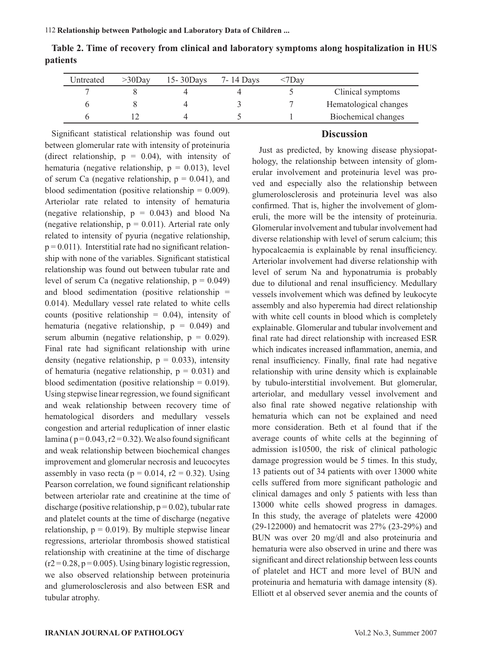| Untreated | $>30$ Dav | $15 - 30$ Days | 7-14 Days | $<7$ Dav |                       |
|-----------|-----------|----------------|-----------|----------|-----------------------|
|           |           |                |           |          | Clinical symptoms     |
|           |           |                |           |          | Hematological changes |
|           |           |                |           |          | Biochemical changes   |

**Table 2. Time of recovery from clinical and laboratory symptoms along hospitalization in HUS patients**

Significant statistical relationship was found out between glomerular rate with intensity of proteinuria (direct relationship,  $p = 0.04$ ), with intensity of hematuria (negative relationship,  $p = 0.013$ ), level of serum Ca (negative relationship,  $p = 0.041$ ), and blood sedimentation (positive relationship  $= 0.009$ ). Arteriolar rate related to intensity of hematuria (negative relationship,  $p = 0.043$ ) and blood Na (negative relationship,  $p = 0.011$ ). Arterial rate only related to intensity of pyuria (negative relationship,  $p = 0.011$ ). Interstitial rate had no significant relationship with none of the variables. Significant statistical relationship was found out between tubular rate and level of serum Ca (negative relationship,  $p = 0.049$ ) and blood sedimentation (positive relationship = 0.014). Medullary vessel rate related to white cells counts (positive relationship  $= 0.04$ ), intensity of hematuria (negative relationship,  $p = 0.049$ ) and serum albumin (negative relationship,  $p = 0.029$ ). Final rate had significant relationship with urine density (negative relationship,  $p = 0.033$ ), intensity of hematuria (negative relationship,  $p = 0.031$ ) and blood sedimentation (positive relationship  $= 0.019$ ). Using stepwise linear regression, we found significant and weak relationship between recovery time of hematological disorders and medullary vessels congestion and arterial reduplication of inner elastic lamina ( $p = 0.043$ ,  $r2 = 0.32$ ). We also found significant and weak relationship between biochemical changes improvement and glomerular necrosis and leucocytes assembly in vaso recta ( $p = 0.014$ ,  $r2 = 0.32$ ). Using Pearson correlation, we found significant relationship between arteriolar rate and creatinine at the time of discharge (positive relationship,  $p = 0.02$ ), tubular rate and platelet counts at the time of discharge (negative relationship,  $p = 0.019$ . By multiple stepwise linear regressions, arteriolar thrombosis showed statistical relationship with creatinine at the time of discharge  $(r2 = 0.28, p = 0.005)$ . Using binary logistic regression, we also observed relationship between proteinuria and glumerolosclerosis and also between ESR and tubular atrophy.

#### **Discussion**

Just as predicted, by knowing disease physiopathology, the relationship between intensity of glomerular involvement and proteinuria level was proved and especially also the relationship between glumerolosclerosis and proteinuria level was also confirmed. That is, higher the involvement of glomeruli, the more will be the intensity of proteinuria. Glomerular involvement and tubular involvement had diverse relationship with level of serum calcium; this hypocalcaemia is explainable by renal insufficiency. Arteriolar involvement had diverse relationship with level of serum Na and hyponatrumia is probably due to dilutional and renal insufficiency. Medullary vessels involvement which was defined by leukocyte assembly and also hyperemia had direct relationship with white cell counts in blood which is completely explainable. Glomerular and tubular involvement and final rate had direct relationship with increased ESR which indicates increased inflammation, anemia, and renal insufficiency. Finally, final rate had negative relationship with urine density which is explainable by tubulo-interstitial involvement. But glomerular, arteriolar, and medullary vessel involvement and also final rate showed negative relationship with hematuria which can not be explained and need more consideration. Beth et al found that if the average counts of white cells at the beginning of admission is10500, the risk of clinical pathologic damage progression would be 5 times. In this study, 13 patients out of 34 patients with over 13000 white cells suffered from more significant pathologic and clinical damages and only 5 patients with less than 13000 white cells showed progress in damages. In this study, the average of platelets were 42000 (29-122000) and hematocrit was 27% (23-29%) and BUN was over 20 mg/dl and also proteinuria and hematuria were also observed in urine and there was significant and direct relationship between less counts of platelet and HCT and more level of BUN and proteinuria and hematuria with damage intensity (8). Elliott et al observed sever anemia and the counts of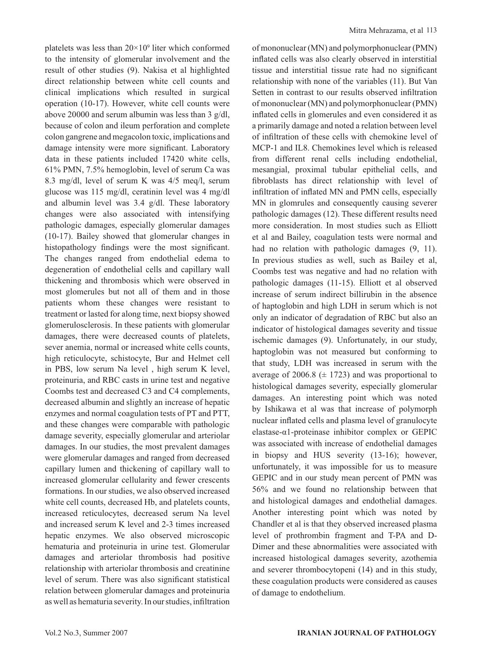platelets was less than  $20 \times 10^9$  liter which conformed to the intensity of glomerular involvement and the result of other studies (9). Nakisa et al highlighted direct relationship between white cell counts and clinical implications which resulted in surgical operation (10-17). However, white cell counts were above 20000 and serum albumin was less than 3 g/dl, because of colon and ileum perforation and complete colon gangrene and megacolon toxic, implications and damage intensity were more significant. Laboratory data in these patients included 17420 white cells, 61% PMN, 7.5% hemoglobin, level of serum Ca was 8.3 mg/dl, level of serum K was 4/5 meq/l, serum glucose was 115 mg/dl, ceratinin level was 4 mg/dl and albumin level was 3.4 g/dl. These laboratory changes were also associated with intensifying pathologic damages, especially glomerular damages (10-17). Bailey showed that glomerular changes in histopathology findings were the most significant. The changes ranged from endothelial edema to degeneration of endothelial cells and capillary wall thickening and thrombosis which were observed in most glomerules but not all of them and in those patients whom these changes were resistant to treatment or lasted for along time, next biopsy showed glomerulosclerosis. In these patients with glomerular damages, there were decreased counts of platelets, sever anemia, normal or increased white cells counts, high reticulocyte, schistocyte, Bur and Helmet cell in PBS, low serum Na level , high serum K level, proteinuria, and RBC casts in urine test and negative Coombs test and decreased C3 and C4 complements, decreased albumin and slightly an increase of hepatic enzymes and normal coagulation tests of PT and PTT, and these changes were comparable with pathologic damage severity, especially glomerular and arteriolar damages. In our studies, the most prevalent damages were glomerular damages and ranged from decreased capillary lumen and thickening of capillary wall to increased glomerular cellularity and fewer crescents formations. In our studies, we also observed increased white cell counts, decreased Hb, and platelets counts, increased reticulocytes, decreased serum Na level and increased serum K level and 2-3 times increased hepatic enzymes. We also observed microscopic hematuria and proteinuria in urine test. Glomerular damages and arteriolar thrombosis had positive relationship with arteriolar thrombosis and creatinine level of serum. There was also significant statistical relation between glomerular damages and proteinuria as well as hematuria severity. In our studies, infiltration

of mononuclear (MN) and polymorphonuclear (PMN) inflated cells was also clearly observed in interstitial tissue and interstitial tissue rate had no significant relationship with none of the variables (11). But Van Setten in contrast to our results observed infiltration of mononuclear (MN) and polymorphonuclear (PMN) inflated cells in glomerules and even considered it as a primarily damage and noted a relation between level of infiltration of these cells with chemokine level of MCP-1 and IL8. Chemokines level which is released from different renal cells including endothelial, mesangial, proximal tubular epithelial cells, and fibroblasts has direct relationship with level of infiltration of inflated MN and PMN cells, especially MN in glomrules and consequently causing severer pathologic damages (12). These different results need more consideration. In most studies such as Elliott et al and Bailey, coagulation tests were normal and had no relation with pathologic damages (9, 11). In previous studies as well, such as Bailey et al, Coombs test was negative and had no relation with pathologic damages (11-15). Elliott et al observed increase of serum indirect billirubin in the absence of haptoglobin and high LDH in serum which is not only an indicator of degradation of RBC but also an indicator of histological damages severity and tissue ischemic damages (9). Unfortunately, in our study, haptoglobin was not measured but conforming to that study, LDH was increased in serum with the average of 2006.8 ( $\pm$  1723) and was proportional to histological damages severity, especially glomerular damages. An interesting point which was noted by Ishikawa et al was that increase of polymorph nuclear inflated cells and plasma level of granulocyte elastase-α1-proteinase inhibitor complex or GEPIC was associated with increase of endothelial damages in biopsy and HUS severity (13-16); however, unfortunately, it was impossible for us to measure GEPIC and in our study mean percent of PMN was 56% and we found no relationship between that and histological damages and endothelial damages. Another interesting point which was noted by Chandler et al is that they observed increased plasma level of prothrombin fragment and T-PA and D-Dimer and these abnormalities were associated with increased histological damages severity, azothemia and severer thrombocytopeni (14) and in this study, these coagulation products were considered as causes of damage to endothelium.